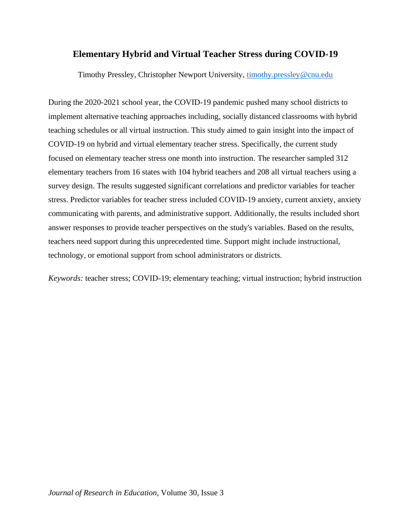# **Elementary Hybrid and Virtual Teacher Stress during COVID-19**

Timothy Pressley, Christopher Newport University, [timothy.pressley@cnu.edu](mailto:timothy.pressley@cnu.edu)

During the 2020-2021 school year, the COVID-19 pandemic pushed many school districts to implement alternative teaching approaches including, socially distanced classrooms with hybrid teaching schedules or all virtual instruction. This study aimed to gain insight into the impact of COVID-19 on hybrid and virtual elementary teacher stress. Specifically, the current study focused on elementary teacher stress one month into instruction. The researcher sampled 312 elementary teachers from 16 states with 104 hybrid teachers and 208 all virtual teachers using a survey design. The results suggested significant correlations and predictor variables for teacher stress. Predictor variables for teacher stress included COVID-19 anxiety, current anxiety, anxiety communicating with parents, and administrative support. Additionally, the results included short answer responses to provide teacher perspectives on the study's variables. Based on the results, teachers need support during this unprecedented time. Support might include instructional, technology, or emotional support from school administrators or districts.

*Keywords:* teacher stress; COVID-19; elementary teaching; virtual instruction; hybrid instruction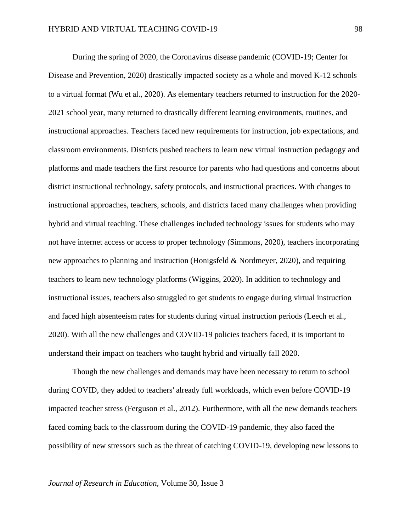During the spring of 2020, the Coronavirus disease pandemic (COVID-19; Center for Disease and Prevention, 2020) drastically impacted society as a whole and moved K-12 schools to a virtual format (Wu et al., 2020). As elementary teachers returned to instruction for the 2020- 2021 school year, many returned to drastically different learning environments, routines, and instructional approaches. Teachers faced new requirements for instruction, job expectations, and classroom environments. Districts pushed teachers to learn new virtual instruction pedagogy and platforms and made teachers the first resource for parents who had questions and concerns about district instructional technology, safety protocols, and instructional practices. With changes to instructional approaches, teachers, schools, and districts faced many challenges when providing hybrid and virtual teaching. These challenges included technology issues for students who may not have internet access or access to proper technology (Simmons, 2020), teachers incorporating new approaches to planning and instruction (Honigsfeld & Nordmeyer, 2020), and requiring teachers to learn new technology platforms (Wiggins, 2020). In addition to technology and instructional issues, teachers also struggled to get students to engage during virtual instruction and faced high absenteeism rates for students during virtual instruction periods (Leech et al., 2020). With all the new challenges and COVID-19 policies teachers faced, it is important to understand their impact on teachers who taught hybrid and virtually fall 2020.

Though the new challenges and demands may have been necessary to return to school during COVID, they added to teachers' already full workloads, which even before COVID-19 impacted teacher stress (Ferguson et al., 2012). Furthermore, with all the new demands teachers faced coming back to the classroom during the COVID-19 pandemic, they also faced the possibility of new stressors such as the threat of catching COVID-19, developing new lessons to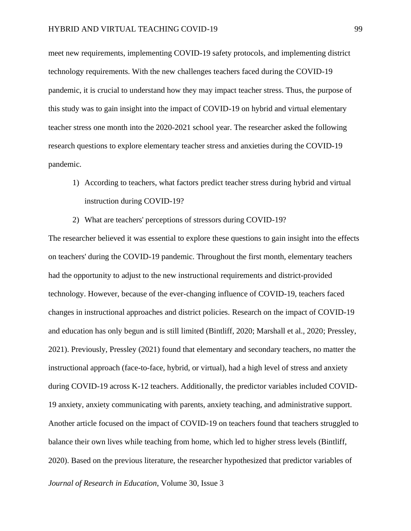meet new requirements, implementing COVID-19 safety protocols, and implementing district technology requirements. With the new challenges teachers faced during the COVID-19 pandemic, it is crucial to understand how they may impact teacher stress. Thus, the purpose of this study was to gain insight into the impact of COVID-19 on hybrid and virtual elementary teacher stress one month into the 2020-2021 school year. The researcher asked the following research questions to explore elementary teacher stress and anxieties during the COVID-19 pandemic.

- 1) According to teachers, what factors predict teacher stress during hybrid and virtual instruction during COVID-19?
- 2) What are teachers' perceptions of stressors during COVID-19?

The researcher believed it was essential to explore these questions to gain insight into the effects on teachers' during the COVID-19 pandemic. Throughout the first month, elementary teachers had the opportunity to adjust to the new instructional requirements and district-provided technology. However, because of the ever-changing influence of COVID-19, teachers faced changes in instructional approaches and district policies. Research on the impact of COVID-19 and education has only begun and is still limited (Bintliff, 2020; Marshall et al., 2020; Pressley, 2021). Previously, Pressley (2021) found that elementary and secondary teachers, no matter the instructional approach (face-to-face, hybrid, or virtual), had a high level of stress and anxiety during COVID-19 across K-12 teachers. Additionally, the predictor variables included COVID-19 anxiety, anxiety communicating with parents, anxiety teaching, and administrative support. Another article focused on the impact of COVID-19 on teachers found that teachers struggled to balance their own lives while teaching from home, which led to higher stress levels (Bintliff, 2020). Based on the previous literature, the researcher hypothesized that predictor variables of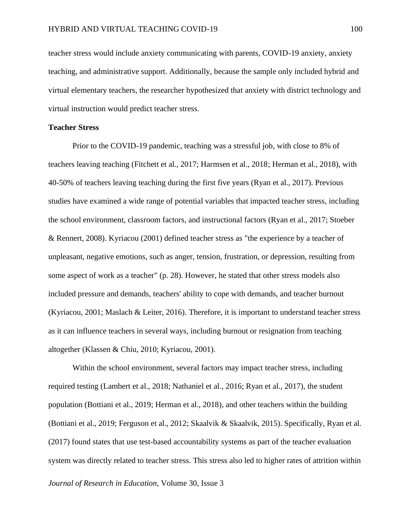teacher stress would include anxiety communicating with parents, COVID-19 anxiety, anxiety teaching, and administrative support. Additionally, because the sample only included hybrid and virtual elementary teachers, the researcher hypothesized that anxiety with district technology and virtual instruction would predict teacher stress.

## **Teacher Stress**

Prior to the COVID-19 pandemic, teaching was a stressful job, with close to 8% of teachers leaving teaching (Fitchett et al., 2017; Harmsen et al., 2018; Herman et al., 2018), with 40-50% of teachers leaving teaching during the first five years (Ryan et al., 2017). Previous studies have examined a wide range of potential variables that impacted teacher stress, including the school environment, classroom factors, and instructional factors (Ryan et al., 2017; Stoeber & Rennert, 2008). Kyriacou (2001) defined teacher stress as "the experience by a teacher of unpleasant, negative emotions, such as anger, tension, frustration, or depression, resulting from some aspect of work as a teacher" (p. 28). However, he stated that other stress models also included pressure and demands, teachers' ability to cope with demands, and teacher burnout (Kyriacou, 2001; Maslach & Leiter, 2016). Therefore, it is important to understand teacher stress as it can influence teachers in several ways, including burnout or resignation from teaching altogether (Klassen & Chiu, 2010; Kyriacou, 2001).

Within the school environment, several factors may impact teacher stress, including required testing (Lambert et al., 2018; Nathaniel et al., 2016; Ryan et al., 2017), the student population (Bottiani et al., 2019; Herman et al., 2018), and other teachers within the building (Bottiani et al., 2019; Ferguson et al., 2012; Skaalvik & Skaalvik, 2015). Specifically, Ryan et al. (2017) found states that use test-based accountability systems as part of the teacher evaluation system was directly related to teacher stress. This stress also led to higher rates of attrition within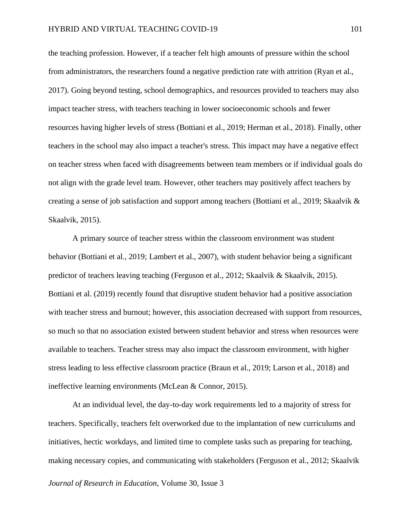the teaching profession. However, if a teacher felt high amounts of pressure within the school from administrators, the researchers found a negative prediction rate with attrition (Ryan et al., 2017). Going beyond testing, school demographics, and resources provided to teachers may also impact teacher stress, with teachers teaching in lower socioeconomic schools and fewer resources having higher levels of stress (Bottiani et al., 2019; Herman et al., 2018). Finally, other teachers in the school may also impact a teacher's stress. This impact may have a negative effect on teacher stress when faced with disagreements between team members or if individual goals do not align with the grade level team. However, other teachers may positively affect teachers by creating a sense of job satisfaction and support among teachers (Bottiani et al., 2019; Skaalvik & Skaalvik, 2015).

A primary source of teacher stress within the classroom environment was student behavior (Bottiani et al., 2019; Lambert et al., 2007), with student behavior being a significant predictor of teachers leaving teaching (Ferguson et al., 2012; Skaalvik & Skaalvik, 2015). Bottiani et al. (2019) recently found that disruptive student behavior had a positive association with teacher stress and burnout; however, this association decreased with support from resources, so much so that no association existed between student behavior and stress when resources were available to teachers. Teacher stress may also impact the classroom environment, with higher stress leading to less effective classroom practice (Braun et al., 2019; Larson et al., 2018) and ineffective learning environments (McLean & Connor, 2015).

*Journal of Research in Education*, Volume 30, Issue 3 At an individual level, the day-to-day work requirements led to a majority of stress for teachers. Specifically, teachers felt overworked due to the implantation of new curriculums and initiatives, hectic workdays, and limited time to complete tasks such as preparing for teaching, making necessary copies, and communicating with stakeholders (Ferguson et al., 2012; Skaalvik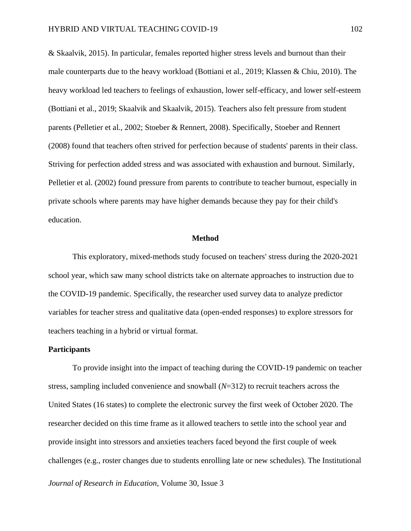& Skaalvik, 2015). In particular, females reported higher stress levels and burnout than their male counterparts due to the heavy workload (Bottiani et al., 2019; Klassen & Chiu, 2010). The heavy workload led teachers to feelings of exhaustion, lower self-efficacy, and lower self-esteem (Bottiani et al., 2019; Skaalvik and Skaalvik, 2015). Teachers also felt pressure from student parents (Pelletier et al., 2002; Stoeber & Rennert, 2008). Specifically, Stoeber and Rennert (2008) found that teachers often strived for perfection because of students' parents in their class. Striving for perfection added stress and was associated with exhaustion and burnout. Similarly, Pelletier et al. (2002) found pressure from parents to contribute to teacher burnout, especially in private schools where parents may have higher demands because they pay for their child's education.

#### **Method**

This exploratory, mixed-methods study focused on teachers' stress during the 2020-2021 school year, which saw many school districts take on alternate approaches to instruction due to the COVID-19 pandemic. Specifically, the researcher used survey data to analyze predictor variables for teacher stress and qualitative data (open-ended responses) to explore stressors for teachers teaching in a hybrid or virtual format.

## **Participants**

To provide insight into the impact of teaching during the COVID-19 pandemic on teacher stress, sampling included convenience and snowball (*N*=312) to recruit teachers across the United States (16 states) to complete the electronic survey the first week of October 2020. The researcher decided on this time frame as it allowed teachers to settle into the school year and provide insight into stressors and anxieties teachers faced beyond the first couple of week challenges (e.g., roster changes due to students enrolling late or new schedules). The Institutional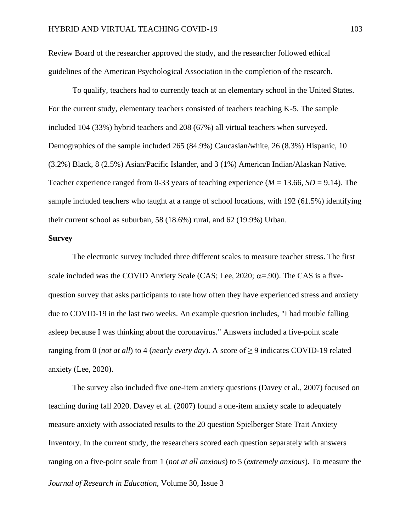Review Board of the researcher approved the study, and the researcher followed ethical guidelines of the American Psychological Association in the completion of the research.

To qualify, teachers had to currently teach at an elementary school in the United States. For the current study, elementary teachers consisted of teachers teaching K-5. The sample included 104 (33%) hybrid teachers and 208 (67%) all virtual teachers when surveyed. Demographics of the sample included 265 (84.9%) Caucasian/white, 26 (8.3%) Hispanic, 10 (3.2%) Black, 8 (2.5%) Asian/Pacific Islander, and 3 (1%) American Indian/Alaskan Native. Teacher experience ranged from 0-33 years of teaching experience  $(M = 13.66, SD = 9.14)$ . The sample included teachers who taught at a range of school locations, with 192 (61.5%) identifying their current school as suburban, 58 (18.6%) rural, and 62 (19.9%) Urban.

## **Survey**

The electronic survey included three different scales to measure teacher stress. The first scale included was the COVID Anxiety Scale (CAS; Lee, 2020;  $\alpha$ =.90). The CAS is a fivequestion survey that asks participants to rate how often they have experienced stress and anxiety due to COVID-19 in the last two weeks. An example question includes, "I had trouble falling asleep because I was thinking about the coronavirus." Answers included a five-point scale ranging from 0 (*not at all*) to 4 (*nearly every day*). A score of  $\geq$  9 indicates COVID-19 related anxiety (Lee, 2020).

The survey also included five one-item anxiety questions (Davey et al., 2007) focused on teaching during fall 2020. Davey et al. (2007) found a one-item anxiety scale to adequately measure anxiety with associated results to the 20 question Spielberger State Trait Anxiety Inventory. In the current study, the researchers scored each question separately with answers ranging on a five-point scale from 1 (*not at all anxious*) to 5 (*extremely anxious*). To measure the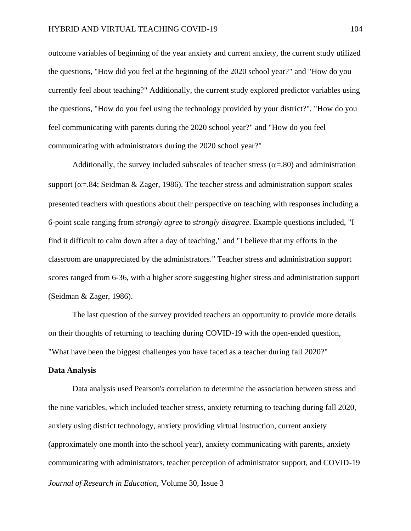outcome variables of beginning of the year anxiety and current anxiety, the current study utilized the questions, "How did you feel at the beginning of the 2020 school year?" and "How do you currently feel about teaching?" Additionally, the current study explored predictor variables using the questions, "How do you feel using the technology provided by your district?", "How do you feel communicating with parents during the 2020 school year?" and "How do you feel communicating with administrators during the 2020 school year?"

Additionally, the survey included subscales of teacher stress ( $\alpha = 80$ ) and administration support ( $\alpha$ =.84; Seidman & Zager, 1986). The teacher stress and administration support scales presented teachers with questions about their perspective on teaching with responses including a 6-point scale ranging from *strongly agree* to *strongly disagree*. Example questions included, "I find it difficult to calm down after a day of teaching," and "I believe that my efforts in the classroom are unappreciated by the administrators." Teacher stress and administration support scores ranged from 6-36, with a higher score suggesting higher stress and administration support (Seidman & Zager, 1986).

The last question of the survey provided teachers an opportunity to provide more details on their thoughts of returning to teaching during COVID-19 with the open-ended question, "What have been the biggest challenges you have faced as a teacher during fall 2020?"

## **Data Analysis**

*Journal of Research in Education*, Volume 30, Issue 3 Data analysis used Pearson's correlation to determine the association between stress and the nine variables, which included teacher stress, anxiety returning to teaching during fall 2020, anxiety using district technology, anxiety providing virtual instruction, current anxiety (approximately one month into the school year), anxiety communicating with parents, anxiety communicating with administrators, teacher perception of administrator support, and COVID-19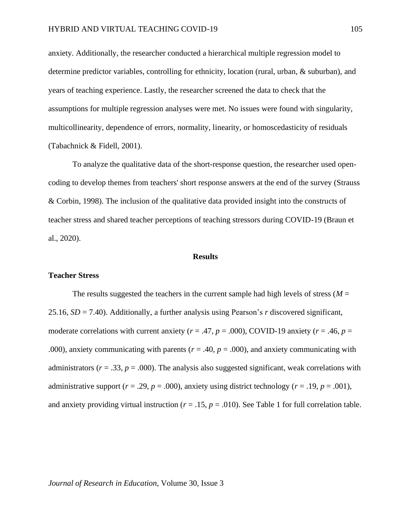anxiety. Additionally, the researcher conducted a hierarchical multiple regression model to determine predictor variables, controlling for ethnicity, location (rural, urban, & suburban), and years of teaching experience. Lastly, the researcher screened the data to check that the assumptions for multiple regression analyses were met. No issues were found with singularity, multicollinearity, dependence of errors, normality, linearity, or homoscedasticity of residuals (Tabachnick & Fidell, 2001).

To analyze the qualitative data of the short-response question, the researcher used opencoding to develop themes from teachers' short response answers at the end of the survey (Strauss & Corbin, 1998). The inclusion of the qualitative data provided insight into the constructs of teacher stress and shared teacher perceptions of teaching stressors during COVID-19 (Braun et al., 2020).

#### **Results**

#### **Teacher Stress**

The results suggested the teachers in the current sample had high levels of stress ( $M =$ 25.16, *SD* = 7.40). Additionally, a further analysis using Pearson's *r* discovered significant, moderate correlations with current anxiety ( $r = .47$ ,  $p = .000$ ), COVID-19 anxiety ( $r = .46$ ,  $p =$ .000), anxiety communicating with parents ( $r = .40$ ,  $p = .000$ ), and anxiety communicating with administrators ( $r = .33$ ,  $p = .000$ ). The analysis also suggested significant, weak correlations with administrative support ( $r = .29$ ,  $p = .000$ ), anxiety using district technology ( $r = .19$ ,  $p = .001$ ), and anxiety providing virtual instruction ( $r = .15$ ,  $p = .010$ ). See Table 1 for full correlation table.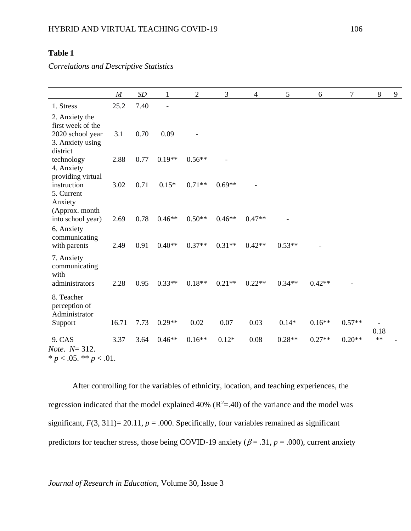# **Table 1**

*Correlations and Descriptive Statistics*

|                                                                                         | $\boldsymbol{M}$ | SD   | 1        | $\overline{2}$ | 3        | $\overline{4}$ | 5        | 6        | $\boldsymbol{7}$ | $\,8\,$    | 9 |
|-----------------------------------------------------------------------------------------|------------------|------|----------|----------------|----------|----------------|----------|----------|------------------|------------|---|
| 1. Stress                                                                               | 25.2             | 7.40 |          |                |          |                |          |          |                  |            |   |
| 2. Anxiety the<br>first week of the<br>2020 school year<br>3. Anxiety using<br>district | 3.1              | 0.70 | 0.09     |                |          |                |          |          |                  |            |   |
| technology<br>4. Anxiety<br>providing virtual                                           | 2.88             | 0.77 | $0.19**$ | $0.56**$       |          |                |          |          |                  |            |   |
| instruction<br>5. Current<br>Anxiety                                                    | 3.02             | 0.71 | $0.15*$  | $0.71**$       | $0.69**$ |                |          |          |                  |            |   |
| (Approx. month<br>into school year)<br>6. Anxiety<br>communicating                      | 2.69             | 0.78 | $0.46**$ | $0.50**$       | $0.46**$ | $0.47**$       |          |          |                  |            |   |
| with parents<br>7. Anxiety                                                              | 2.49             | 0.91 | $0.40**$ | $0.37**$       | $0.31**$ | $0.42**$       | $0.53**$ |          |                  |            |   |
| communicating<br>with<br>administrators                                                 | 2.28             | 0.95 | $0.33**$ | $0.18**$       | $0.21**$ | $0.22**$       | $0.34**$ | $0.42**$ |                  |            |   |
| 8. Teacher<br>perception of<br>Administrator                                            |                  |      |          |                |          |                |          |          |                  |            |   |
| Support                                                                                 | 16.71            | 7.73 | $0.29**$ | 0.02           | 0.07     | 0.03           | $0.14*$  | $0.16**$ | $0.57**$         | 0.18       |   |
| 9. CAS                                                                                  | 3.37             | 3.64 | $0.46**$ | $0.16**$       | $0.12*$  | 0.08           | $0.28**$ | $0.27**$ | $0.20**$         | $\ast\ast$ |   |
| <i>Note.</i> $N = 312$ .<br>$\sim$ $\sim$ $\sim$ $\sim$                                 |                  |      |          |                |          |                |          |          |                  |            |   |

\*  $p < .05$ . \*\*  $p < .01$ .

After controlling for the variables of ethnicity, location, and teaching experiences, the regression indicated that the model explained 40% ( $R^2$ =.40) of the variance and the model was significant,  $F(3, 311)=20.11$ ,  $p = .000$ . Specifically, four variables remained as significant predictors for teacher stress, those being COVID-19 anxiety ( $\beta$  = .31,  $p$  = .000), current anxiety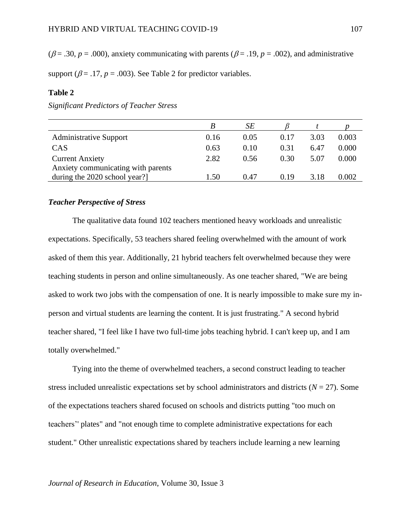( $\beta$  = .30,  $p$  = .000), anxiety communicating with parents ( $\beta$  = .19,  $p$  = .002), and administrative

support ( $\beta$  = .17,  $p$  = .003). See Table 2 for predictor variables.

## **Table 2**

|                                    |      | SЕ   |      |      |       |
|------------------------------------|------|------|------|------|-------|
| <b>Administrative Support</b>      | 0.16 | 0.05 | 0.17 | 3.03 | 0.003 |
| <b>CAS</b>                         | 0.63 | 0.10 | 0.31 | 6.47 | 0.000 |
| <b>Current Anxiety</b>             | 2.82 | 0.56 | 0.30 | 5.07 | 0.000 |
| Anxiety communicating with parents |      |      |      |      |       |
| during the 2020 school year?       | 1.50 | 0.47 | 0.19 | 3.18 | 0.002 |

*Significant Predictors of Teacher Stress*

## *Teacher Perspective of Stress*

The qualitative data found 102 teachers mentioned heavy workloads and unrealistic expectations. Specifically, 53 teachers shared feeling overwhelmed with the amount of work asked of them this year. Additionally, 21 hybrid teachers felt overwhelmed because they were teaching students in person and online simultaneously. As one teacher shared, "We are being asked to work two jobs with the compensation of one. It is nearly impossible to make sure my inperson and virtual students are learning the content. It is just frustrating." A second hybrid teacher shared, "I feel like I have two full-time jobs teaching hybrid. I can't keep up, and I am totally overwhelmed."

Tying into the theme of overwhelmed teachers, a second construct leading to teacher stress included unrealistic expectations set by school administrators and districts ( $N = 27$ ). Some of the expectations teachers shared focused on schools and districts putting "too much on teachers'' plates" and "not enough time to complete administrative expectations for each student." Other unrealistic expectations shared by teachers include learning a new learning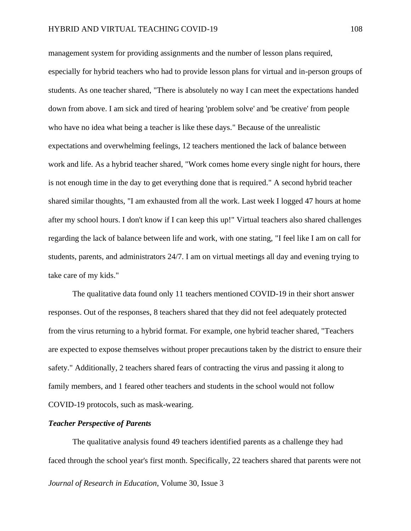management system for providing assignments and the number of lesson plans required, especially for hybrid teachers who had to provide lesson plans for virtual and in-person groups of students. As one teacher shared, "There is absolutely no way I can meet the expectations handed down from above. I am sick and tired of hearing 'problem solve' and 'be creative' from people who have no idea what being a teacher is like these days." Because of the unrealistic expectations and overwhelming feelings, 12 teachers mentioned the lack of balance between work and life. As a hybrid teacher shared, "Work comes home every single night for hours, there is not enough time in the day to get everything done that is required." A second hybrid teacher shared similar thoughts, "I am exhausted from all the work. Last week I logged 47 hours at home after my school hours. I don't know if I can keep this up!" Virtual teachers also shared challenges regarding the lack of balance between life and work, with one stating, "I feel like I am on call for students, parents, and administrators 24/7. I am on virtual meetings all day and evening trying to take care of my kids."

The qualitative data found only 11 teachers mentioned COVID-19 in their short answer responses. Out of the responses, 8 teachers shared that they did not feel adequately protected from the virus returning to a hybrid format. For example, one hybrid teacher shared, "Teachers are expected to expose themselves without proper precautions taken by the district to ensure their safety." Additionally, 2 teachers shared fears of contracting the virus and passing it along to family members, and 1 feared other teachers and students in the school would not follow COVID-19 protocols, such as mask-wearing.

## *Teacher Perspective of Parents*

*Journal of Research in Education*, Volume 30, Issue 3 The qualitative analysis found 49 teachers identified parents as a challenge they had faced through the school year's first month. Specifically, 22 teachers shared that parents were not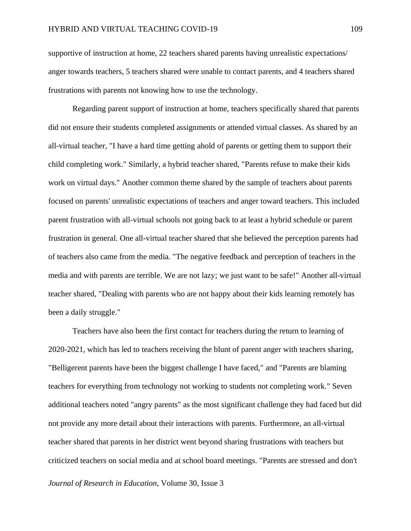supportive of instruction at home, 22 teachers shared parents having unrealistic expectations/ anger towards teachers, 5 teachers shared were unable to contact parents, and 4 teachers shared frustrations with parents not knowing how to use the technology.

Regarding parent support of instruction at home, teachers specifically shared that parents did not ensure their students completed assignments or attended virtual classes. As shared by an all-virtual teacher, "I have a hard time getting ahold of parents or getting them to support their child completing work." Similarly, a hybrid teacher shared, "Parents refuse to make their kids work on virtual days." Another common theme shared by the sample of teachers about parents focused on parents' unrealistic expectations of teachers and anger toward teachers. This included parent frustration with all-virtual schools not going back to at least a hybrid schedule or parent frustration in general. One all-virtual teacher shared that she believed the perception parents had of teachers also came from the media. "The negative feedback and perception of teachers in the media and with parents are terrible. We are not lazy; we just want to be safe!" Another all-virtual teacher shared, "Dealing with parents who are not happy about their kids learning remotely has been a daily struggle."

Teachers have also been the first contact for teachers during the return to learning of 2020-2021, which has led to teachers receiving the blunt of parent anger with teachers sharing, "Belligerent parents have been the biggest challenge I have faced," and "Parents are blaming teachers for everything from technology not working to students not completing work." Seven additional teachers noted "angry parents" as the most significant challenge they had faced but did not provide any more detail about their interactions with parents. Furthermore, an all-virtual teacher shared that parents in her district went beyond sharing frustrations with teachers but criticized teachers on social media and at school board meetings. "Parents are stressed and don't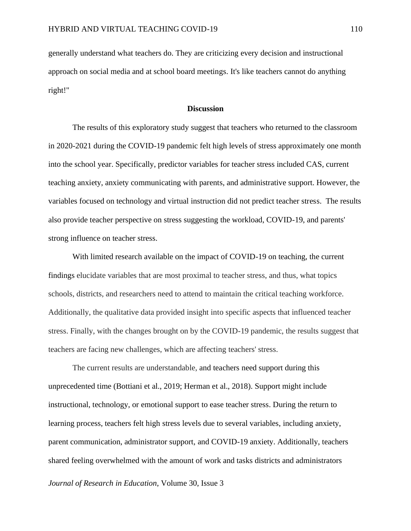generally understand what teachers do. They are criticizing every decision and instructional approach on social media and at school board meetings. It's like teachers cannot do anything right!"

## **Discussion**

The results of this exploratory study suggest that teachers who returned to the classroom in 2020-2021 during the COVID-19 pandemic felt high levels of stress approximately one month into the school year. Specifically, predictor variables for teacher stress included CAS, current teaching anxiety, anxiety communicating with parents, and administrative support. However, the variables focused on technology and virtual instruction did not predict teacher stress. The results also provide teacher perspective on stress suggesting the workload, COVID-19, and parents' strong influence on teacher stress.

With limited research available on the impact of COVID-19 on teaching, the current findings elucidate variables that are most proximal to teacher stress, and thus, what topics schools, districts, and researchers need to attend to maintain the critical teaching workforce. Additionally, the qualitative data provided insight into specific aspects that influenced teacher stress. Finally, with the changes brought on by the COVID-19 pandemic, the results suggest that teachers are facing new challenges, which are affecting teachers' stress.

The current results are understandable, and teachers need support during this unprecedented time (Bottiani et al., 2019; Herman et al., 2018). Support might include instructional, technology, or emotional support to ease teacher stress. During the return to learning process, teachers felt high stress levels due to several variables, including anxiety, parent communication, administrator support, and COVID-19 anxiety. Additionally, teachers shared feeling overwhelmed with the amount of work and tasks districts and administrators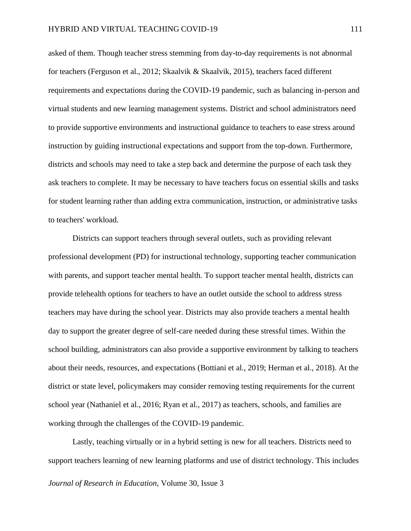asked of them. Though teacher stress stemming from day-to-day requirements is not abnormal for teachers (Ferguson et al., 2012; Skaalvik & Skaalvik, 2015), teachers faced different requirements and expectations during the COVID-19 pandemic, such as balancing in-person and virtual students and new learning management systems. District and school administrators need to provide supportive environments and instructional guidance to teachers to ease stress around instruction by guiding instructional expectations and support from the top-down. Furthermore, districts and schools may need to take a step back and determine the purpose of each task they ask teachers to complete. It may be necessary to have teachers focus on essential skills and tasks for student learning rather than adding extra communication, instruction, or administrative tasks to teachers' workload.

Districts can support teachers through several outlets, such as providing relevant professional development (PD) for instructional technology, supporting teacher communication with parents, and support teacher mental health. To support teacher mental health, districts can provide telehealth options for teachers to have an outlet outside the school to address stress teachers may have during the school year. Districts may also provide teachers a mental health day to support the greater degree of self-care needed during these stressful times. Within the school building, administrators can also provide a supportive environment by talking to teachers about their needs, resources, and expectations (Bottiani et al., 2019; Herman et al., 2018). At the district or state level, policymakers may consider removing testing requirements for the current school year (Nathaniel et al., 2016; Ryan et al., 2017) as teachers, schools, and families are working through the challenges of the COVID-19 pandemic.

*Journal of Research in Education*, Volume 30, Issue 3 Lastly, teaching virtually or in a hybrid setting is new for all teachers. Districts need to support teachers learning of new learning platforms and use of district technology. This includes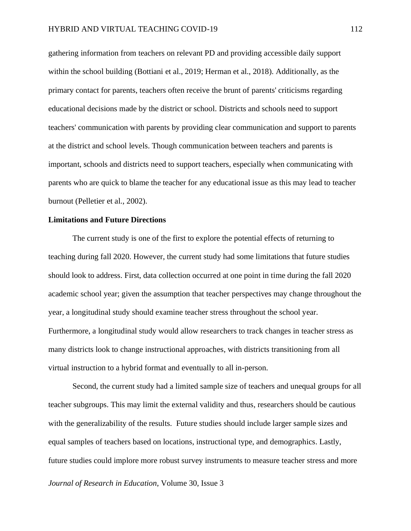gathering information from teachers on relevant PD and providing accessible daily support within the school building (Bottiani et al., 2019; Herman et al., 2018). Additionally, as the primary contact for parents, teachers often receive the brunt of parents' criticisms regarding educational decisions made by the district or school. Districts and schools need to support teachers' communication with parents by providing clear communication and support to parents at the district and school levels. Though communication between teachers and parents is important, schools and districts need to support teachers, especially when communicating with parents who are quick to blame the teacher for any educational issue as this may lead to teacher burnout (Pelletier et al., 2002).

## **Limitations and Future Directions**

The current study is one of the first to explore the potential effects of returning to teaching during fall 2020. However, the current study had some limitations that future studies should look to address. First, data collection occurred at one point in time during the fall 2020 academic school year; given the assumption that teacher perspectives may change throughout the year, a longitudinal study should examine teacher stress throughout the school year. Furthermore, a longitudinal study would allow researchers to track changes in teacher stress as many districts look to change instructional approaches, with districts transitioning from all virtual instruction to a hybrid format and eventually to all in-person.

Second, the current study had a limited sample size of teachers and unequal groups for all teacher subgroups. This may limit the external validity and thus, researchers should be cautious with the generalizability of the results. Future studies should include larger sample sizes and equal samples of teachers based on locations, instructional type, and demographics. Lastly, future studies could implore more robust survey instruments to measure teacher stress and more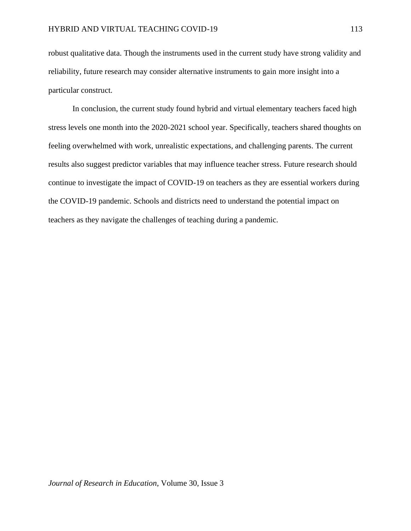robust qualitative data. Though the instruments used in the current study have strong validity and reliability, future research may consider alternative instruments to gain more insight into a particular construct.

In conclusion, the current study found hybrid and virtual elementary teachers faced high stress levels one month into the 2020-2021 school year. Specifically, teachers shared thoughts on feeling overwhelmed with work, unrealistic expectations, and challenging parents. The current results also suggest predictor variables that may influence teacher stress. Future research should continue to investigate the impact of COVID-19 on teachers as they are essential workers during the COVID-19 pandemic. Schools and districts need to understand the potential impact on teachers as they navigate the challenges of teaching during a pandemic.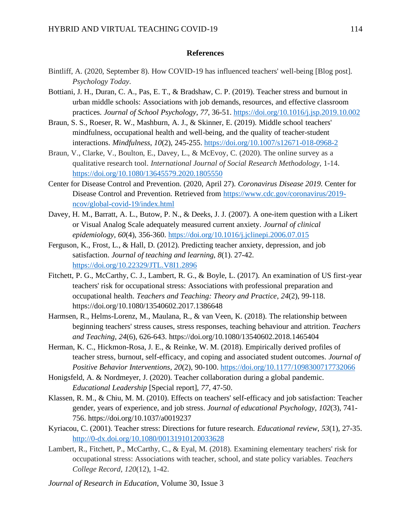## **References**

- Bintliff, A. (2020, September 8). How COVID-19 has influenced teachers' well-being [Blog post]. *Psychology Today*.
- Bottiani, J. H., Duran, C. A., Pas, E. T., & Bradshaw, C. P. (2019). Teacher stress and burnout in urban middle schools: Associations with job demands, resources, and effective classroom practices. *Journal of School Psychology*, *77*, 36-51.<https://doi.org/10.1016/j.jsp.2019.10.002>
- Braun, S. S., Roeser, R. W., Mashburn, A. J., & Skinner, E. (2019). Middle school teachers' mindfulness, occupational health and well-being, and the quality of teacher-student interactions. *Mindfulness*, *10*(2), 245-255. <https://doi.org/10.1007/s12671-018-0968-2>
- Braun, V., Clarke, V., Boulton, E., Davey, L., & McEvoy, C. (2020). The online survey as a qualitative research tool. *International Journal of Social Research Methodology*, 1-14. <https://doi.org/10.1080/13645579.2020.1805550>
- Center for Disease Control and Prevention. (2020, April 27). *Coronavirus Disease 2019*. Center for Disease Control and Prevention. Retrieved from [https://www.cdc.gov/coronavirus/2019](https://www.cdc.gov/coronavirus/2019-ncov/global-covid-19/index.html) [ncov/global-covid-19/index.html](https://www.cdc.gov/coronavirus/2019-ncov/global-covid-19/index.html)
- Davey, H. M., Barratt, A. L., Butow, P. N., & Deeks, J. J. (2007). A one-item question with a Likert or Visual Analog Scale adequately measured current anxiety. *Journal of clinical epidemiology*, *60*(4), 356-360.<https://doi.org/10.1016/j.jclinepi.2006.07.015>
- Ferguson, K., Frost, L., & Hall, D. (2012). Predicting teacher anxiety, depression, and job satisfaction. *Journal of teaching and learning*, *8*(1). 27-42. <https://doi.org/10.22329/JTL.V8I1.2896>
- Fitchett, P. G., McCarthy, C. J., Lambert, R. G., & Boyle, L. (2017). An examination of US first-year teachers' risk for occupational stress: Associations with professional preparation and occupational health. *Teachers and Teaching: Theory and Practice*, *24*(2), 99-118. <https://doi.org/10.1080/13540602.2017.1386648>
- Harmsen, R., Helms-Lorenz, M., Maulana, R., & van Veen, K. (2018). The relationship between beginning teachers' stress causes, stress responses, teaching behaviour and attrition. *Teachers and Teaching*, *24*(6), 626-643.<https://doi.org/10.1080/13540602.2018.1465404>
- Herman, K. C., Hickmon-Rosa, J. E., & Reinke, W. M. (2018). Empirically derived profiles of teacher stress, burnout, self-efficacy, and coping and associated student outcomes. *Journal of Positive Behavior Interventions*, *20*(2), 90-100.<https://doi.org/10.1177/1098300717732066>
- Honigsfeld, A. & Nordmeyer, J. (2020). Teacher collaboration during a global pandemic. *Educational Leadership* [Special report], *77*, 47-50.
- Klassen, R. M., & Chiu, M. M. (2010). Effects on teachers' self-efficacy and job satisfaction: Teacher gender, years of experience, and job stress. *Journal of educational Psychology*, *102*(3), 741- 756. https://doi.org/10.1037/a0019237
- Kyriacou, C. (2001). Teacher stress: Directions for future research. *Educational review*, *53*(1), 27-35. <http://0-dx.doi.org/10.1080/00131910120033628>
- Lambert, R., Fitchett, P., McCarthy, C., & Eyal, M. (2018). Examining elementary teachers' risk for occupational stress: Associations with teacher, school, and state policy variables. *Teachers College Record*, *120*(12), 1-42.
- *Journal of Research in Education*, Volume 30, Issue 3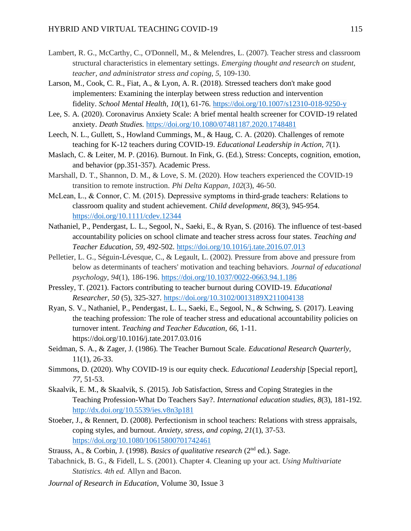- Lambert, R. G., McCarthy, C., O'Donnell, M., & Melendres, L. (2007). Teacher stress and classroom structural characteristics in elementary settings. *Emerging thought and research on student, teacher, and administrator stress and coping*, *5*, 109-130.
- Larson, M., Cook, C. R., Fiat, A., & Lyon, A. R. (2018). Stressed teachers don't make good implementers: Examining the interplay between stress reduction and intervention fidelity. *School Mental Health*, *10*(1), 61-76. <https://doi.org/10.1007/s12310-018-9250-y>
- Lee, S. A. (2020). Coronavirus Anxiety Scale: A brief mental health screener for COVID-19 related anxiety. *Death Studies.* <https://doi.org/10.1080/07481187.2020.1748481>
- Leech, N. L., Gullett, S., Howland Cummings, M., & Haug, C. A. (2020). Challenges of remote teaching for K-12 teachers during COVID-19. *Educational Leadership in Action*, *7*(1).
- Maslach, C. & Leiter, M. P. (2016). Burnout. In Fink, G. (Ed.), Stress: Concepts, cognition, emotion, and behavior (pp.351-357). Academic Press.
- Marshall, D. T., Shannon, D. M., & Love, S. M. (2020). How teachers experienced the COVID-19 transition to remote instruction. *Phi Delta Kappan*, *102*(3), 46-50.
- McLean, L., & Connor, C. M. (2015). Depressive symptoms in third-grade teachers: Relations to classroom quality and student achievement. *Child development*, *86*(3), 945-954. <https://doi.org/10.1111/cdev.12344>
- Nathaniel, P., Pendergast, L. L., Segool, N., Saeki, E., & Ryan, S. (2016). The influence of test-based accountability policies on school climate and teacher stress across four states. *Teaching and Teacher Education*, *59*, 492-502.<https://doi.org/10.1016/j.tate.2016.07.013>
- Pelletier, L. G., Séguin-Lévesque, C., & Legault, L. (2002). Pressure from above and pressure from below as determinants of teachers' motivation and teaching behaviors. *Journal of educational psychology*, *94*(1), 186-196.<https://doi.org/10.1037/0022-0663.94.1.186>
- Pressley, T. (2021). Factors contributing to teacher burnout during COVID-19. *Educational Researcher*, *50* (5), 325-327.<https://doi.org/10.3102/0013189X211004138>
- Ryan, S. V., Nathaniel, P., Pendergast, L. L., Saeki, E., Segool, N., & Schwing, S. (2017). Leaving the teaching profession: The role of teacher stress and educational accountability policies on turnover intent. *Teaching and Teacher Education*, *66*, 1-11. <https://doi.org/10.1016/j.tate.2017.03.016>
- Seidman, S. A., & Zager, J. (1986). The Teacher Burnout Scale. *Educational Research Quarterly*, 11(1), 26-33.
- Simmons, D. (2020). Why COVID-19 is our equity check. *Educational Leadership* [Special report], *77,* 51-53.
- Skaalvik, E. M., & Skaalvik, S. (2015). Job Satisfaction, Stress and Coping Strategies in the Teaching Profession-What Do Teachers Say?. *International education studies*, *8*(3), 181-192. <http://dx.doi.org/10.5539/ies.v8n3p181>
- Stoeber, J., & Rennert, D. (2008). Perfectionism in school teachers: Relations with stress appraisals, coping styles, and burnout. *Anxiety, stress, and coping*, *21*(1), 37-53. <https://doi.org/10.1080/10615800701742461>
- Strauss, A., & Corbin, J. (1998). *Basics of qualitative research* (2nd ed.). Sage.
- Tabachnick, B. G., & Fidell, L. S. (2001). Chapter 4. Cleaning up your act. *Using Multivariate Statistics. 4th ed.* Allyn and Bacon.
- *Journal of Research in Education*, Volume 30, Issue 3